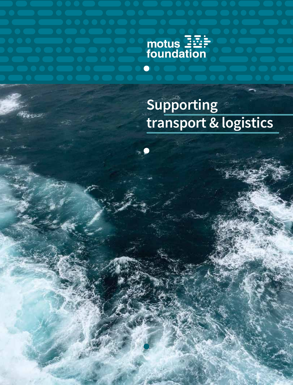

 $\bullet$ 

# **Supporting transport & logistics**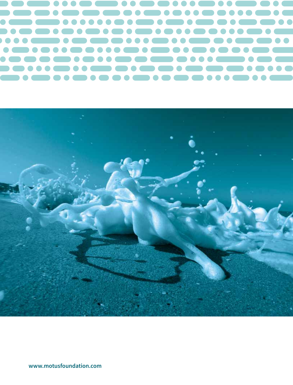



**www.motusfoundation.com**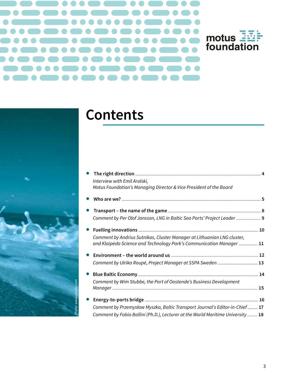# motus<br>foundation



# **Contents**

|           | Interview with Emil Arolski,<br>Motus Foundation's Managing Director & Vice President of the Board                                              |  |
|-----------|-------------------------------------------------------------------------------------------------------------------------------------------------|--|
|           |                                                                                                                                                 |  |
| $\bullet$ |                                                                                                                                                 |  |
|           | Comment by Per Olof Jansson, LNG in Baltic Sea Ports' Project Leader  9                                                                         |  |
| $\bullet$ |                                                                                                                                                 |  |
|           | Comment by Andrius Sutnikas, Cluster Manager at Lithuanian LNG cluster,<br>and Klaipėda Science and Technology Park's Communication Manager  11 |  |
| $\bullet$ |                                                                                                                                                 |  |
|           |                                                                                                                                                 |  |
|           |                                                                                                                                                 |  |
|           | Comment by Wim Stubbe, the Port of Oostende's Business Development                                                                              |  |
| $\bullet$ |                                                                                                                                                 |  |
|           | Comment by Przemysław Myszka, Baltic Transport Journal's Editor-in-Chief  17                                                                    |  |
|           | Comment by Fabio Ballini (Ph.D.), Lecturer at the World Maritime University  18                                                                 |  |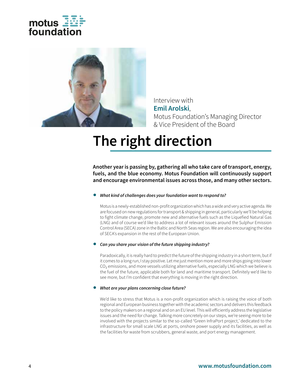



Interview with **Emil Arolski**, Motus Foundation's Managing Director & Vice President of the Board

# **The right direction**

**Another year is passing by, gathering all who take care of transport, energy, fuels, and the blue economy. Motus Foundation will continuously support and encourage environmental issues across those, and many other sectors.**

### *What kind of challenges does your foundation want to respond to?*

Motus is a newly-established non-profit organization which has a wide and very active agenda. We are focused on new regulations for transport & shipping in general, particularly we'll be helping to fight climate change, promote new and alternative fuels such as the Liquefied Natural Gas (LNG) and of course we'd like to address a lot of relevant issues around the Sulphur Emission Control Area (SECA) zone in the Baltic and North Seas region. We are also encouraging the idea of SECA's expansion in the rest of the European Union.

### *Can you share your vision of the future shipping industry?*

Paradoxically, it is really hard to predict the future of the shipping industry in a short term, but if it comes to a long run, I stay positive. Let me just mention more and more ships going into lower CO<sub>2</sub> emissions, and more vessels utilizing alternative fuels, especially LNG which we believe is the fuel of the future, applicable both for land and maritime transport. Definitely we'd like to see more, but I'm confident that everything is moving in the right direction.

### *What are your plans concerning close future?*

We'd like to stress that Motus is a non-profit organization which is raising the voice of both regional and European business together with the academic sectors and delivers this feedback to the policy makers on a regional and on an EU level. This will efficiently address the legislative issues and the need for change. Talking more concretely on our steps, we're seeing more to be involved with the projects similar to the so-called 'Green InfraPort project,' dedicated to the infrastructure for small scale LNG at ports, onshore power supply and its facilities, as well as the facilities for waste from scrubbers, general waste, and port energy management.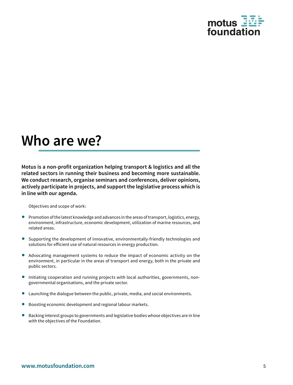

# **Who are we?**

**Motus is a non-profit organization helping transport & logistics and all the related sectors in running their business and becoming more sustainable. We conduct research, organise seminars and conferences, deliver opinions, actively participate in projects, and support the legislative process which is in line with our agenda.**

Objectives and scope of work:

- **•** Promotion of the latest knowledge and advances in the areas of transport, logistics, energy, environment, infrastructure, economic development, utilization of marine resources, and related areas.
- Supporting the development of innovative, environmentally-friendly technologies and solutions for efficient use of natural resources in energy production.
- Advocating management systems to reduce the impact of economic activity on the environment, in particular in the areas of transport and energy, both in the private and public sectors.
- Initiating cooperation and running projects with local authorities, governments, nongovernmental organisations, and the private sector.
- Launching the dialogue between the public, private, media, and social environments.
- Boosting economic development and regional labour markets.
- Backing interest groups to governments and legislative bodies whose objectives are in line with the objectives of the Foundation.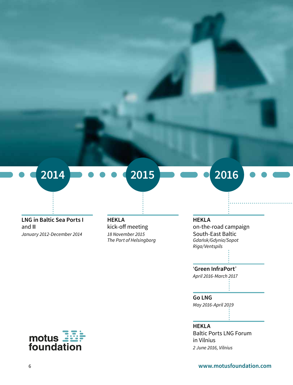

**2014 2015 2015 2016** 

### **LNG in Baltic Sea Ports I** and **II** January 2012-December 2014

### **HEKLA**

kick-off meeting *18 November 2015 The Port of Helsingborg*

### **HEKLA**

on-the-road campaign South-East Baltic Gdańsk/Gdynia/Sopot Riga/Ventspils

### '**Green InfraPort**'

April 2016-March 2017

### **Go LNG** May 2016-April 2019

**HEKLA**

Baltic Ports LNG Forum in Vilnius *2 June 2016, Vilnius*



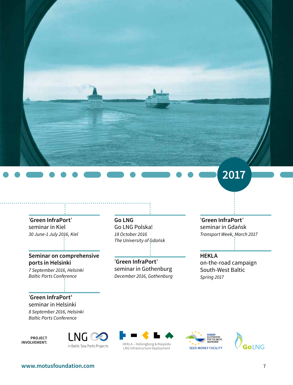

**Seminar on comprehensive ports in Helsinki**

7 September 2016, Helsinki *Baltic Ports Conference* 

### '**Green InfraPort'**

seminar in Helsinki *8 September 2016, Helsinki Baltic Ports Conference*

**PROJECT** 





**INVOLVEMENT:** <sup>H</sup>EKLA – Helsingborg & Klaipėda LNG Infrastructure Deployment





**Go LNG** Go LNG Polska! *18 October 2016* The University of Gdańsk

'**Green InfraPort**' seminar in Gothenburg *December 2016, Gothenburg* '**Green InfraPort**' seminar in Gdańsk

Transport Week, March 2017

**2017**

**HEKLA** on-the-road campaign South-West Baltic Spring 2017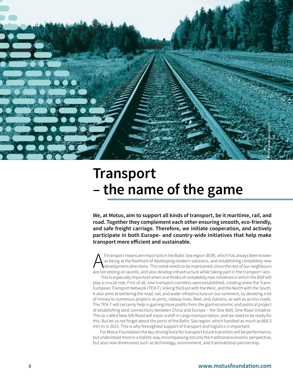

# **Transport – the name of the game**

**We, at Motus, aim to support all kinds of transport, be it maritime, rail, and road. Together they complement each other ensuring smooth, eco-friendly, and safe freight carriage. Therefore, we initiate cooperation, and actively participate in both Europe- and country-wide initiatives that help make transport more eff icient and sustainable.**

All transport means are important in the Baltic Sea region (BSR), which has always been known as being at the forefront of developing modern solutions, and establishing completely new development directions. This trend needs to be maintained, since the rest of our neighbours are not resting on laurels, and also develop infrastructure while taking part in the transport race.

 This is especially important when one thinks of completely new initiatives in which the BSR will play a crucial role. First of all, new transport corridors were established, creating anew the Trans-European Transport Network (TEN-T), linking the East with the West, and the North with the South. It also aims at bettering the road, rail, and water infrastructure on our continent, by devoting a lot of money to numerous projects at ports, railway lines, fleet, and stations, as well as across roads. The TEN-T will certainly help in gaining more profits from the giant economic and political project of establishing land connections between China and Europe – the One Belt, One Road initiative. The so-called New Silk Road will mean a shift in cargo transportation, and we need to be ready for this. But let us not forget about the ports of the Baltic Sea region, which handled as much as 868.5 mln tn in 2015. This is why foresighted support of transport and logistics is important.

For Motus Foundation the key driving force for transport future transition will be performance, but understood more in a holistic way, encompassing not only the traditional economic perspective, but also new dimensions such as technology, environment, and transnational partnership.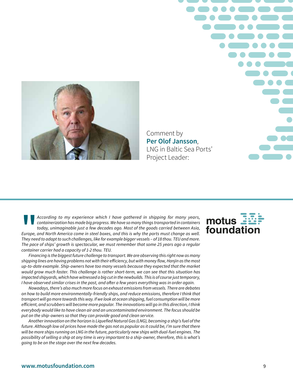

Comment by **Per Olof Jansson**, LNG in Baltic Sea Ports' Project Leader:

Europe,<br>They nee<br>The pace *According to my experience which I have gathered in shipping for many years, containerization has made big progress. We have so many things transported in containers today, unimaginable just a few decades ago. Most of the goods carried between Asia, Europe, and North America come in steel boxes, and this is why the ports must change as well. They need to adapt to such challenges, like for example bigger vessels – of 18 thou. TEU and more. The pace of ships' growth is spectacular, we must remember that some 25 years ago a regular*  container carrier had a capacity of 1-2 thou. TEU.

*Financing is the biggest future challenge to transport. We are observing this right now as many*  shipping lines are having problems not with their efficiency, but with money flow, Hanjin as the most up-to-date example. Ship-owners have too many vessels because they expected that the market would grow much faster. This challenge is rather short-term, we can see that this situation has *impacted shipyards, which have witnessed a big cut in the newbuilds. This is of course just temporary,*  I have observed similar crises in the past, and after a few years everything was in order again.

*Nowadays, there's also much more focus on exhaust emissions from vessels. There are debates*  on how to build more environmentally-friendly ships, and reduce emissions, therefore I think that *transport will go more towards this way. If we look at ocean shipping, fuel consumption will be more*  efficient, and scrubbers will become more popular. The innovations will go in this direction, I think *everybody would like to have clean air and an uncontaminated environment. The focus should be*  put on the ship-owners so that they can provide good and clean service.

Another innovation on the horizon is Liquefied Natural Gas (LNG), becoming a ship's fuel of the *future. Although low oil prices have made the gas not as popular as it could be, I'm sure that there*  will be more ships running on LNG in the future, particularly new ships with dual-fuel engines. The possibility of selling a ship at any time is very important to a ship-owner, therefore, this is what's *going to be on the stage over the next few decades.*

# motus. foundation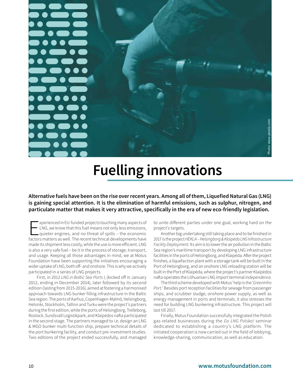# Photo: www.pexels.com

# **Fuelling innovations**

Alternative fuels have been on the rise over recent years. Among all of them, Liquefied Natural Gas (LNG) **is gaining special attention. It is the elimination of harmful emissions, such as sulphur, nitrogen, and particulate matter that makes it very attractive, specifi cally in the era of new eco-friendly legislation.**

Experienced in EU-funded projects touching many aspects of<br>LNG, we know that this fuel means not only less emissions,<br>quieter engines, and no threat of spills – the economic<br>factors matters as well. The recent technical de xperienced in EU-funded projects touching many aspects of LNG, we know that this fuel means not only less emissions, quieter engines, and no threat of spills – the economic made its shipment less costly, while the use is more efficient. LNG is also a very safe fuel – be it in the process of storage, transport, and usage. Keeping all those advantages in mind, we at Motus Foundation have been supporting the initiatives encouraging a wider uptake of LNG, both off- and onshore. This is why we actively participated in a series of LNG projects.

 First, in 2012 *LNG in Baltic Sea Ports I*, (kicked off in January 2012, ending in December 2014), later followed by its second edition (lasting from 2015-2016), aimed at fostering a harmonised approach towards LNG bunker filling infrastructure in the Baltic Sea region. The ports of Aarhus, Copenhagen-Malmö, Helsingborg, Helsinki, Stockholm, Tallinn and Turku were the project's partners during the first edition, while the ports of Helsingborg, Trelleborg, Rostock, Sundsvall Logistikpark, and Klaipėdos nafta participated in the second stage. The partners managed to i.e. design an LNG & MGO bunker multi-function ship, prepare technical details of the port bunkering facility, and conduct pre-investment studies. Two editions of the project ended successfully, and managed

to unite different parties under one goal, working hard on the project's targets.

Another big undertaking still taking place and to be finished in 2017 is the project HEKLA – Helsingborg & Klaipėda LNG Infrastructure *Facility Deployment*. Its aim is to lower the air pollution in the Baltic Sea region's maritime transport by developing LNG infrastructure facilities in the ports of Helsingborg, and Klaipėda. After the project finishes, a liquefaction plant with a storage tank will be built in the Port of Helsingborg, and an onshore LNG reloading station will be built in the Port of Klaipėda, where the project's partner Klaipėdos nafta operates the Lithuanian LNG import terminal Independence.

The third scheme developed with Motus' help is the 'GreenInfra *Port*.' Besides port reception facilities for sewage from passenger ships, and scrubber sludge, onshore power supply, as well as energy management in ports and terminals, it also stresses the need for building LNG bunkering infrastructure. This project will last till 2017.

Finally, Motus Foundation successfully integrated the Polish gas-related businesses during the *Go LNG Polska!* seminar dedicated to establishing a country's LNG platform. The initiated cooperation is now carried out in the field of lobbying, knowledge-sharing, communication, as well as education.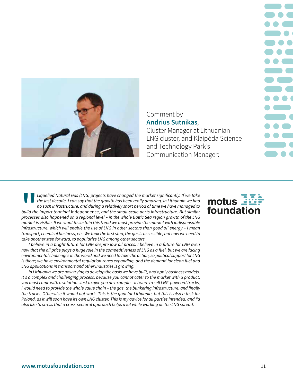

### Comment by **Andrius Sutnikas**,

Cluster Manager at Lithuanian LNG cluster, and Klaipėda Science and Technology Park's Communication Manager:

**"** Liquefied Natural Gas (LNG) projects have changed the market significantly. If we take *the last decade, I can say that the growth has been really amazing. In Lithuania we had no such infrastructure, and during a relatively short period of time we have managed to build the import terminal* Independence, and the small-scale ports infrastructure. But similar *processes also happened on a regional level – in the whole Baltic Sea region growth of the LNG market is visible. If we want to sustain this trend we must provide the market with indispensable infrastructure, which will enable the use of LNG in other sectors than good ol' energy – I mean*  transport, chemical business, etc. We took the first step, the gas is accessible, but now we need to *take another step forward, to popularize LNG among other sectors.*

*I believe in a bright future for LNG despite low oil prices. I believe in a future for LNG even now that the oil price plays a huge role in the competitiveness of LNG as a fuel, but we are facing environmental challenges in the world and we need to take the action, so political support for LNG*  is there; we have environmental regulation zones expanding, and the demand for clean fuel and *LNG applications in transport and other industries is growing.*

*In Lithuania we are now trying to develop the basis we have built, and apply business models.*  It's a complex and challenging process, because you cannot cater to the market with a product, you must come with a solution. Just to give you an example – if I were to sell LNG-powered trucks, I would need to provide the whole value chain – the gas, the bunkering infrastructure, and finally *the trucks. Otherwise it would not work. This is the goal for Lithuania, but this is also a task for Poland, as it will soon have its own LNG cluster. This is my advice for all parties intended, and I'd*  also like to stress that a cross-sectoral approach helps a lot while working on the LNG spread.

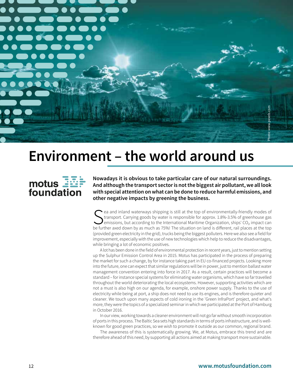

# **Environment – the world around us**

### $motus$   $\overline{=}$ foundation

**Nowadays it is obvious to take particular care of our natural surroundings. And although the transport sector is not the biggest air pollutant, we all look with special attention on what can be done to reduce harmful emissions, and other negative impacts by greening the business.**

Sea and inland waterways shipping is still at the top of environmentally-friendly modes of transport. Carrying goods by water is responsible for approx. 1.8%-3.5% of greenhouse gas emissions, but according to the Internat transport. Carrying goods by water is responsible for approx. 1.8%-3.5% of greenhouse gas be further axed down by as much as 75%! The situation on land is different, rail places at the top (provided green electricity in the grid), trucks being the biggest polluters. Here we also see a field for improvement, especially with the use of new technologies which help to reduce the disadvantages, while bringing a lot of economic positives.

A lot has been done in the field of environmental protection in recent years, just to mention setting up the Sulphur Emission Control Area in 2015. Motus has participated in the process of preparing the market for such a change, by for instance taking part in EU co-financed projects. Looking more into the future, one can expect that similar regulations will be in power, just to mention ballast water management convention entering into force in 2017. As a result, certain practices will become a standard – for instance special systems for eliminating water organisms, which have so far travelled throughout the world deteriorating the local ecosystems. However, supporting activities which are not a must is also high on our agenda, for example, onshore power supply. Thanks to the use of electricity while being at port, a ship does not need to use its engines, and is therefore quieter and cleaner. We touch upon many aspects of cold ironing in the 'Green InfraPort' project, and what's more, they were the topics of a specialized seminar in which we participated at the Port of Hamburg in October 2016.

In our view, working towards a cleaner environment will not go far without smooth incorporation of ports in this process. The Baltic Sea sets high standards in terms of ports infrastructure, and is wellknown for good green practices, so we wish to promote it outside as our common, regional brand.

The awareness of this is systematically growing. We, at Motus, embrace this trend and are therefore ahead of this need, by supporting all actions aimed at making transport more sustainable.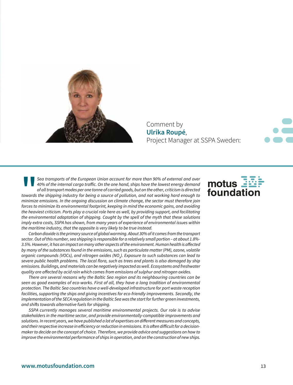

Comment by **Ulrika Roupé**, Project Manager at SSPA Sweden:

**||**<br>towards<br>minimize<br>forces to Sea transports of the European Union account for more than 90% of external and over 40% of the internal cargo traffic. On the one hand, ships have the lowest energy demand *of all transport modes per one tonne of carried goods, but on the other, criticism is directed towards the shipping industry for being a source of pollution, and not working hard enough to minimize emissions. In the ongoing discussion on climate change, the sector must therefore join*  forces to minimize its environmental footprint, keeping in mind the economic gains, and avoiding *the heaviest criticism. Ports play a crucial role here as well, by providing support, and facilitating the environmental adaptation of shipping. Caught by the spell of the myth that these solutions imply extra costs, SSPA has shown, from many years of experience of environmental issues within the maritime industry, that the opposite is very likely to be true instead.*

Carbon dioxide is the primary source of global warming. About 30% of it comes from the transport sector. Out of this number, sea shipping is responsible for a relatively small portion – at about 1.8%- 3.5%. However, it has an impact on many other aspects of the environment. Human health is affected *by many of the substances found in the emissions, such as particulate matter (PM), ozone, volatile*   $\sigma$ rganic compounds (VOCs), and nitrogen oxides (NO<sub>x</sub>). Exposure to such substances can lead to severe public health problems. The local flora, such as trees and plants is also damaged by ship *emissions. Buildings, and materials can be negatively impacted as well. Ecosystems and freshwater*  quality are affected by acid rain which comes from emissions of sulphur and nitrogen oxides.

*There are several reasons why the Baltic Sea region and its neighbouring countries can be*  seen as good examples of eco-works. First of all, they have a long tradition of environmental protection. The Baltic Sea countries have a well-developed infrastructure for port waste reception facilities, supporting the ships and giving incentives for eco-friendly improvements. Secondly, the *implementation of the SECA regulation in the Baltic Sea was the start for further green investments,*  and shifts towards alternative fuels for shipping.

*SSPA currently manages several maritime environmental projects. Our role is to advise*  stakeholders in the maritime sector, and provide environmentally-compatible improvements and solutions. In recent years, we have published a lot of expertises on different measures and concepts, and their respective increase in efficiency or reduction in emissions. It is often difficult for a decision*maker to decide on the concept of choice. Therefore, we provide advice and suggestions on how to improve the environmental performance of ships in operation, and on the construction of new ships.*

# $motus$   $\overline{1}$ foundation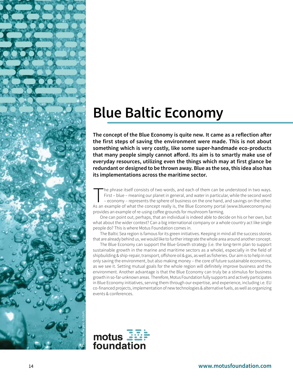# **Blue Baltic Economy**

The concept of the Blue Economy is quite new. It came as a reflection after the first steps of saving the environment were made. This is not about **something which is very costly, like some super-handmade eco-products**  that many people simply cannot afford. Its aim is to smartly make use of everyday resources, utilizing even the things which may at first glance be **redundant or designed to be thrown away. Blue as the sea, this idea also has its implementations across the maritime sector.**

The phrase itself consists of two words, and each of them can be understood in two ways.<br>
First – blue – meaning our planet in general, and water in particular, while the second word<br>
– economy – represents the sphere of b First – blue – meaning our planet in general, and water in particular, while the second word As an example of what the concept really is, the Blue Economy portal (www.blueeconomy.eu) provides an example of re-using coffee grounds for mushroom farming.

One can point out, perhaps, that an individual is indeed able to decide on his or her own, but what about the wider context? Can a big international company or a whole country act like single people do? This is where Motus Foundation comes in.

The Baltic Sea region is famous for its green initiatives. Keeping in mind all the success stories that are already behind us, we would like to further integrate the whole area around another concept.

The Blue Economy can support the Blue Growth strategy (i.e. the long-term plan to support sustainable growth in the marine and maritime sectors as a whole), especially in the field of shipbuilding & ship-repair, transport, off shore oil & gas, as well as fisheries. Our aim is to help in not only saving the environment, but also making money – the core of future sustainable economics, as we see it. Setting mutual goals for the whole region will definitely improve business and the environment. Another advantage is that the Blue Economy can truly be a stimulus for business growth in so-far-unknown areas. Therefore, Motus Foundation fully supports and actively participates in Blue Economy initiatives, serving them through our expertise, and experience, including i.e. EU co-financed projects, implementation of new technologies & alternative fuels, as well as organizing events & conferences.



Photo: www.pexels.com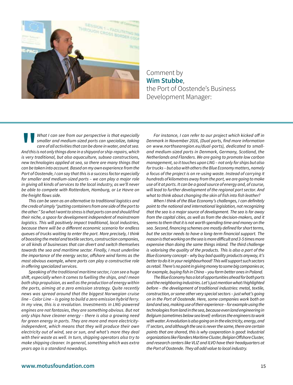

Comment by **Wim Stubbe**, the Port of Oostende's Business Development Manager:

**"** *What I can see from our perspective is that especially*  smaller and medium-sized ports can specialize, taking *care of all activities that can be done in water, and at sea.*  And this is not only things done in a shipyard or ship-repairs, which *is very traditional, but also aquaculture, subsea constructions, new technologies applied at sea, so there are many things that can be taken into account. Based on my own experience from the Port of Oostende, I can say that this is a success factor especially*  for smaller and medium-sized ports – we can play a major role *in giving all kinds of services to the local industry, as we'll never be able to compete with Rotterdam, Hamburg, or Le Havre on*  the freight flows side.

*This can be seen as an alternative to traditional logistics and the credo of simply "putting containers from one side of the port to*  the other." So what I want to stress is that ports can and should find *their niche, a space for development independent of mainstream logistics. This will positively impact traditional, local industries,*  because there will be a different economic scenario for endless *queues of trucks waiting to enter the port. More precisely, I think of boosting the metal and textile sectors, construction companies, or all kinds of businesses that can divert and switch themselves towards the sea and maritime sector. Finally, I must underline*  the importance of the energy sector, offshore wind farms as the *most obvious example, where ports can play a constructive role*  in offering specialized services.

*Speaking of the traditional maritime sector, I can see a huge*  shift, especially when it comes to fuelling the ships, and I mean *both ship propulsion, as well as the production of energy within the ports, aiming at a zero emission strategy. Quite recently news was spread around that the biggest Norwegian cruise line – Color Line – is going to build a zero emission hybrid ferry.*  In my view, this is a revolution. Investments in LNG-powered *engines are not fantasies, they are something obvious. But not only ships have cleaner energy – there is also a growing need*  for green energy in ports. They are more and more electricity*independent, which means that they will produce their own electricity out of wind, sea or sun, and what's more they deal with their waste as well. In turn, shipping operators also try to make shipping cleaner. In general, something which was extra years ago is a standard nowadays.*

For instance, I can refer to our project which kicked off in Denmark in November 2016, (Dual ports, find more information on www.northsearegion.eu/dual-ports), dedicated to smalland medium-sized ports in Denmark, Germany, Scotland, the *Netherlands and Flanders. We are going to promote low carbon management, so it touches upon LNG – not only for ships but also for trucks – but also with others the Blue Economy matters, namely*  a focus of the project is on re-using waste. Instead of carrying it *hundreds of kilometres away from the port, we are going to make use of it at ports. It can be a good source of energy and, of course, will lead to further development of the regional port sector. And*  what to think about changing the skin of fish into fish leather?

When I think of the Blue Economy's challenges, I can definitely *point to the national and international legislation, not recognizing that the sea is a major source of development. The sea is far away*  from the capital cities, as well as from the decision-makers, and it *seems to them that it is not worth spending time and money on the*  sea. Second, financing schemes are mostly defined for short terms, but the sector needs to have a long-term financial support. The reason is that working on the sea is more difficult and 3-5 times more *expensive than doing the same things inland. The third challenge is valorising the quality of the products. This is also a part of the Blue Economy concept – why buy bad quality products anyway, it's better to do it in your neighbourhood! This will support such sectors as retail. There's no point in giving money to some big companies or,*  for example, buying fish in China – you farm better ones in Poland.

*The Blue Economy has a lot of opportunities ahead for both ports and the neighboring industries. Let's just mention what I highlighted before – the development of traditional industries: metal, textile, construction, or some other very special sectors – just what's going on in the Port of Oostende. Here, some companies work both on land and sea, making use of their experience – for example using the technologies from land in the sea, because even land engineering in Belgium (sometimes below sea level) enforces the engineers to work with water. A revolution is also going on in the electricity, energy, and IT sectors, and although the sea is never the same, there are certain points that are shared, this is why cooperation is good: Industrial*  organizations like Flanders Maritime Cluster, Belgian Offshore Cluster, *and research centers like VLIZ and ILVO have their headquarters at the Port of Oostende. They all add value to local industry.*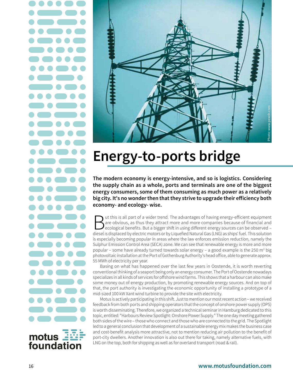# motus foundation



# **Energy-to-ports bridge**

**The modern economy is energy-intensive, and so is logistics. Considering the supply chain as a whole, ports and terminals are one of the biggest energy consumers, some of them consuming as much power as a relatively**  big city. It's no wonder then that they strive to upgrade their efficiency both **economy- and ecology- wise.**

**But this is all part of a wider trend.** The advantages of having energy-efficient equipment are obvious, as thus they attract more and more companies because of financial and ecological benefits. But a bigger shift in usi are obvious, as thus they attract more and more companies because of financial and diesel is displaced by electric motors or by Liquefied Natural Gas (LNG) as ships' fuel. This solution is especially becoming popular in areas where the law enforces emission reduction, namely the Sulphur Emission Control Area (SECA) zone. We can see that renewable energy is more and more popular – some have already turned towards solar energy – a good example is the 250 m<sup>2</sup> big photovoltaic installation at the Port of Gothenburg Authority's head office, able to generate approx. 55 MWh of electricity per year.

Basing on what has happened over the last few years in Oostende, it is worth reverting conventional thinking of a seaport being only an energy consumer. The Port of Oostende nowadays specializes in all kinds of services for offshore wind farms. This shows that a harbour can also make some money out of energy production, by promoting renewable energy sources. And on top of that, the port authority is investigating the economic opportunity of installing a prototype of a mid-sized 100 kW Xant wind turbine to provide the site with electricity.

Motus is actively participating in this shift. Just to mention our most recent action – we received feedback from both ports and shipping operators that the concept of onshore power supply (OPS) is worth disseminating. Therefore, we organized a technical seminar in Hamburg dedicated to this topic, entitled: "Harbours Review Spotlight: Onshore Power Supply." The one day meeting gathered both sides of the wire – those who connect and those who are connected to the grid. The Spotlight led to a general conclusion that development of a sustainable energy mix makes the business case and cost-benefit analysis more attractive, not to mention reducing air pollution to the benefit of port-city dwellers. Another innovation is also out there for taking, namely alternative fuels, with LNG on the top, both for shipping as well as for overland transport (road & rail).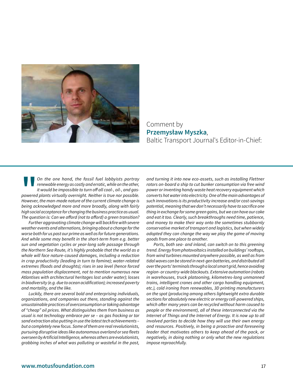

Comment by **Przemysław Myszka**, Baltic Transport Journal's Editor-in-Chief:

**"** *On the one hand, the fossil fuel lobbyists portray renewable energy as costly and erratic, while on the other,*  it would be impossible to turn off all coal-, oil-, and gas*powered plants virtually overnight. Neither is true nor possible.*  However, the man-made nature of the current climate change is *being acknowledged more and more broadly, along with fairly high social acceptance for changing the business practice as usual.*  The question is: Can we afford (not to afford) a green transition?

Further aggravating climate change will backfire with severe *weather events and alternations, bringing about a change for the worse both for us past our prime as well as for future generations.*  And while some may benefit in the short-term from e.g. better sun and vegetation cycles or year-long safe passage through *the Northern Sea Route, it's highly probable that the world as a*  whole will face nature-caused damages, including a reduction in crop productivity (leading in turn to famine); water-related extremes (floods and droughts); rises in sea level (hence forced *mass population displacement, not to mention numerous new Atlantises with architectural heritages lost under water); losses*  in biodiversity (e.g. due to ocean acidification); increased poverty *and mortality, and the like.*

*Luckily, there are several bold and enterprising individuals, organizations, and companies out there, standing against the unsustainable practices of overconsumption or taking advantage of "cheap" oil prices. What distinguishes them from business as usual is not technology embrace per se – as gas fracking or tar sand extraction also putting in use the latest tech achievements – but a completely new focus. Some of them are real revolutionists,*  pursuing disruptive ideas like autonomous overland or sea fleets overseen by Artificial Intelligence, whereas others are evolutionists, *grabbing inches of what was polluting or wasteful in the past,*  and turning it into new eco-assets, such as installing Flettner rotors on-board a ship to cut bunker consumption via free wind *power or inventing handy waste heat recovery equipment which converts hot water into electricity. One of the main advantages of*  such innovations is its productivity increase and/or cost-savings potential, meaning that we don't necessarily have to sacrifice one *thing in exchange for some green gains, but we can have our cake and eat it too. Clearly, such breakthroughs need time, patience, and money to make their way onto the sometimes stubbornly conservative market of transport and logistics, but when widely adopted they can change the way we play the game of moving goods from one place to another.*

Ports, both sea- and inland, can switch on to this greening trend. Energy from photovoltaics installed on buildings' rooftops, *from wind turbines mounted anywhere possible, as well as from*  tidal waves can be stored in next-gen batteries, and distributed all *over the ports' terminals through a local smart grid, hence avoiding*  region- or country-wide blackouts. Extensive automation (robots in warehouses, truck platooning, kilometres-long unmanned *trains, intelligent cranes and other cargo handling equipment, etc.), cold ironing from renewables, 3D printing manufacturers on the spot (producing among others lightweight extra durable*  sections for absolutely new electric or energy cell-powered ships, which after many years can be recycled without harm caused to *people or the environment), all of these interconnected via the Internet of Things and the Internet of Energy. It is now up to all involved parties to decide how they will use their own energy and resources. Positively, in being a proactive and foreseeing leader that motivates others to keep ahead of the pack, or negatively, in doing nothing or only what the new regulations impose reproachfully.*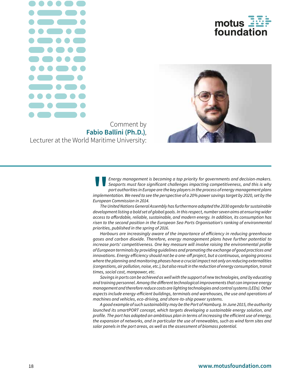



### Comment by **Fabio Ballini (Ph.D.)**, Lecturer at the World Maritime University:

**||**<br>|impleme<br>Europea<br>| The l Energy management is becoming a top priority for governments and decision-makers. Seaports must face significant challenges impacting competitiveness, and this is why *port authorities in Europe are the key players in the process of energy management plans*  implementation. We need to see the perspective of a 20% power savings target by 2020, set by the European Commission in 2014.

*The United Nations General Assembly has furthermore adopted the 2030 agenda for sustainable development listing a bold set of global goals. In this respect, number seven aims at ensuring wider*  access to affordable, reliable, sustainable, and modern energy. In addition, its consumption has risen to the second position in the European Sea Ports Organisation's ranking of environmental *priorities, published in the spring of 2016.*

Harbours are increasingly aware of the importance of efficiency in reducing greenhouse *gases and carbon dioxide. Therefore, energy management plans have further potential to*  increase ports' competitiveness. One key measure will involve raising the environmental profile *of European terminals by providing guidelines and promoting the exchange of good practices and*  innovations. Energy efficiency should not be a one-off project, but a continuous, ongoing process *where the planning and monitoring phases have a crucial impact not only on reducing externalities (congestions, air pollution, noise, etc.), but also result in the reduction of energy consumption,transit times, social cost, manpower, etc.*

*Savings in ports can be achieved as well with the support of new technologies, and by educating*  and training personnel. Among the different technological improvements that can improve energy *management and therefore reduce costs are lighting technologies and control systems (LEDs). Other*  aspects include energy-efficient buildings, terminals and warehouses, the use and operations of machines and vehicles, eco-driving, and shore-to-ship power systems.

*A good example of such sustainability may be the Port of Hamburg. In June 2015, the authority launched its smartPORT concept, which targets developing a sustainable energy solution, and*  profile. The port has adopted an ambitious plan in terms of increasing the efficient use of energy, *the expansion of networks, and in particular the use of renewables, such as wind farm sites and solar panels in the port areas, as well as the assessment of biomass potential.*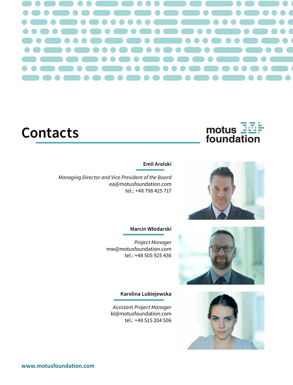

# **Contacts**



### **Emil Arolski**

*Managing Director and Vice President of the Board* ea@motusfoundation.com tel.: +48 798 425 717

### **Marcin Włodarski**

*Project Manager* mw@motusfoundation.com tel.: +48 505 925 436

### **Karolina Lubiejewska**

*Assistant Project Manager* kl@motusfoundation.com tel.: +48 515 204 506